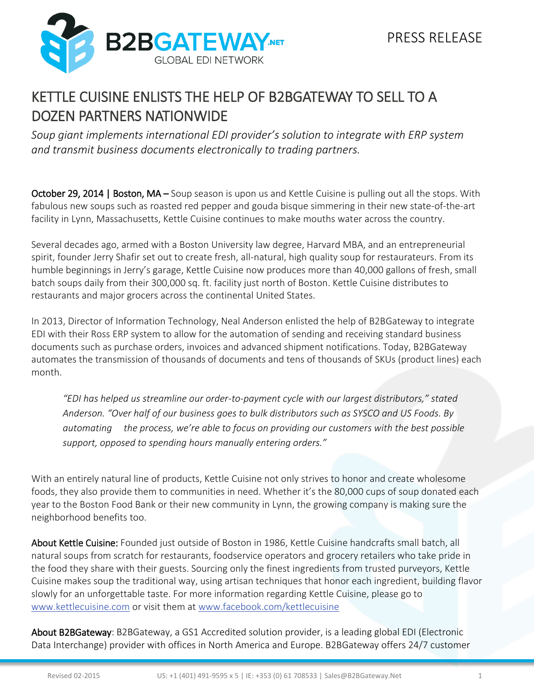

## KETTLE CUISINE ENLISTS THE HELP OF B2BGATEWAY TO SELL TO A DOZEN PARTNERS NATIONWIDE

*Soup giant implements international EDI provider's solution to integrate with ERP system and transmit business documents electronically to trading partners.*

October 29, 2014 | Boston, MA – Soup season is upon us and Kettle Cuisine is pulling out all the stops. With fabulous new soups such as roasted red pepper and gouda bisque simmering in their new state-of-the-art facility in Lynn, Massachusetts, Kettle Cuisine continues to make mouths water across the country.

Several decades ago, armed with a Boston University law degree, Harvard MBA, and an entrepreneurial spirit, founder Jerry Shafir set out to create fresh, all-natural, high quality soup for restaurateurs. From its humble beginnings in Jerry's garage, Kettle Cuisine now produces more than 40,000 gallons of fresh, small batch soups daily from their 300,000 sq. ft. facility just north of Boston. Kettle Cuisine distributes to restaurants and major grocers across the continental United States.

In 2013, Director of Information Technology, Neal Anderson enlisted the help of B2BGateway to integrate EDI with their Ross ERP system to allow for the automation of sending and receiving standard business documents such as purchase orders, invoices and advanced shipment notifications. Today, B2BGateway automates the transmission of thousands of documents and tens of thousands of SKUs (product lines) each month.

*"EDI has helped us streamline our order-to-payment cycle with our largest distributors," stated Anderson. "Over half of our business goes to bulk distributors such as SYSCO and US Foods. By automating the process, we're able to focus on providing our customers with the best possible support, opposed to spending hours manually entering orders."*

With an entirely natural line of products, Kettle Cuisine not only strives to honor and create wholesome foods, they also provide them to communities in need. Whether it's the 80,000 cups of soup donated each year to the Boston Food Bank or their new community in Lynn, the growing company is making sure the neighborhood benefits too.

About Kettle Cuisine: Founded just outside of Boston in 1986, Kettle Cuisine handcrafts small batch, all natural soups from scratch for restaurants, foodservice operators and grocery retailers who take pride in the food they share with their guests. Sourcing only the finest ingredients from trusted purveyors, Kettle Cuisine makes soup the traditional way, using artisan techniques that honor each ingredient, building flavor slowly for an unforgettable taste. For more information regarding Kettle Cuisine, please go to [www.kettlecuisine.com](http://www.kettlecuisine.com/) or visit them at [www.facebook.com/kettlecuisine](http://www.facebook.com/kettlecuisine)

About B2BGateway: B2BGateway, a GS1 Accredited solution provider, is a leading global EDI (Electronic Data Interchange) provider with offices in North America and Europe. B2BGateway offers 24/7 customer